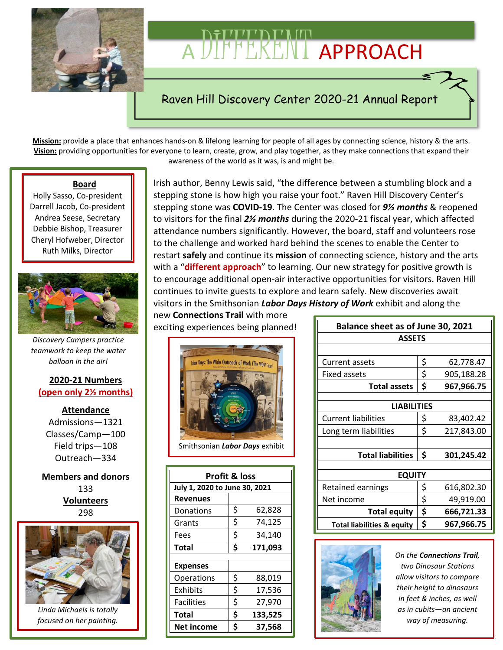

# A DIFFERENT APPROACH

# Raven Hill Discovery Center 2020-21 Annual Report

**Mission:** provide a place that enhances hands-on & lifelong learning for people of all ages by connecting science, history & the arts. **Vision:** providing opportunities for everyone to learn, create, grow, and play together, as they make connections that expand their awareness of the world as it was, is and might be.

#### **Board**

Holly Sasso, Co-president Darrell Jacob, Co-president Andrea Seese, Secretary Debbie Bishop, Treasurer Cheryl Hofweber, Director Ruth Milks, Director



*Discovery Campers practice teamwork to keep the water balloon in the air!*

#### **2020-21 Numbers (open only 2½ months)**

**Attendance** Admissions—1321 Classes/Camp—100 Field trips—108 Outreach—334

**Members and donors** 133 **Volunteers** 298



*Linda Michaels is totally focused on her painting.*

Irish author, Benny Lewis said, "the difference between a stumbling block and a stepping stone is how high you raise your foot." Raven Hill Discovery Center's stepping stone was **COVID-19**. The Center was closed for *9½ months* & reopened to visitors for the final *2½ months* during the 2020-21 fiscal year, which affected attendance numbers significantly. However, the board, staff and volunteers rose to the challenge and worked hard behind the scenes to enable the Center to restart **safely** and continue its **mission** of connecting science, history and the arts with a "**different approach**" to learning. Our new strategy for positive growth is to encourage additional open-air interactive opportunities for visitors. Raven Hill continues to invite guests to explore and learn safely. New discoveries await visitors in the Smithsonian *Labor Days History of Work* exhibit and along the

new **Connections Trail** with more exciting experiences being planned!



Smithsonian *Labor Days* exhibit

| <b>Profit &amp; loss</b>      |    |         |  |
|-------------------------------|----|---------|--|
| July 1, 2020 to June 30, 2021 |    |         |  |
| Revenues                      |    |         |  |
| Donations                     | \$ | 62,828  |  |
| Grants                        | \$ | 74,125  |  |
| Fees                          | \$ | 34,140  |  |
| Total                         | \$ | 171,093 |  |
|                               |    |         |  |
| <b>Expenses</b>               |    |         |  |
| Operations                    | \$ | 88,019  |  |
| Exhibits                      | \$ | 17,536  |  |
| <b>Facilities</b>             | \$ | 27,970  |  |
| Total                         | \$ | 133,525 |  |
| <b>Net income</b>             | Ś  | 37,568  |  |
|                               |    |         |  |

| Balance sheet as of June 30, 2021     |    |            |  |  |  |
|---------------------------------------|----|------------|--|--|--|
| <b>ASSETS</b>                         |    |            |  |  |  |
|                                       |    |            |  |  |  |
| Current assets                        | \$ | 62,778.47  |  |  |  |
| Fixed assets                          | \$ | 905,188.28 |  |  |  |
| <b>Total assets</b>                   | \$ | 967,966.75 |  |  |  |
|                                       |    |            |  |  |  |
| <b>LIABILITIES</b>                    |    |            |  |  |  |
| <b>Current liabilities</b>            | \$ | 83,402.42  |  |  |  |
| Long term liabilities                 | \$ | 217,843.00 |  |  |  |
|                                       |    |            |  |  |  |
| <b>Total liabilities</b>              | \$ | 301,245.42 |  |  |  |
|                                       |    |            |  |  |  |
| <b>EQUITY</b>                         |    |            |  |  |  |
| Retained earnings                     | \$ | 616,802.30 |  |  |  |
| Net income                            | \$ | 49,919.00  |  |  |  |
| <b>Total equity</b>                   | \$ | 666,721.33 |  |  |  |
| <b>Total liabilities &amp; equity</b> | \$ | 967,966.75 |  |  |  |



*On the Connections Trail, two Dinosaur Stations allow visitors to compare their height to dinosaurs in feet & inches, as well as in cubits—an ancient way of measuring.*